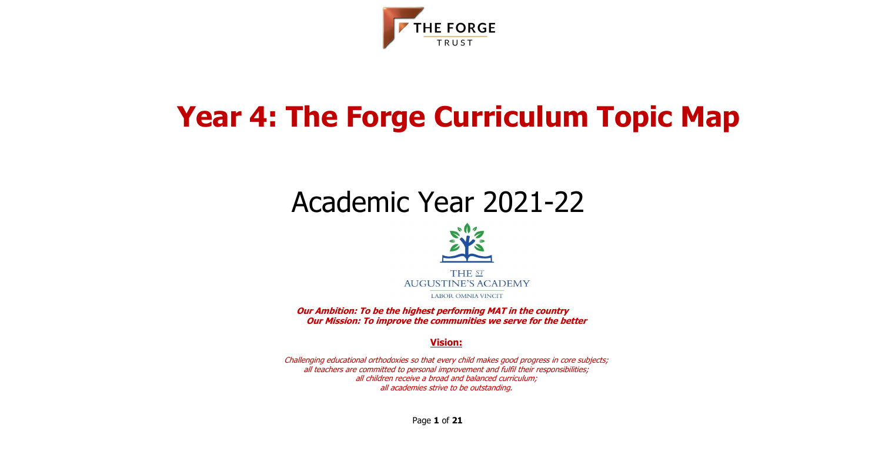



# **Year 4: The Forge Curriculum Topic Map**

# Academic Year 2021-22



**Our Ambition: To be the highest performing MAT in the country Our Mission: To improve the communities we serve for the better**

#### **Vision:**

Challenging educational orthodoxies so that every child makes good progress in core subjects; all teachers are committed to personal improvement and fulfil their responsibilities; all children receive a broad and balanced curriculum; all academies strive to be outstanding.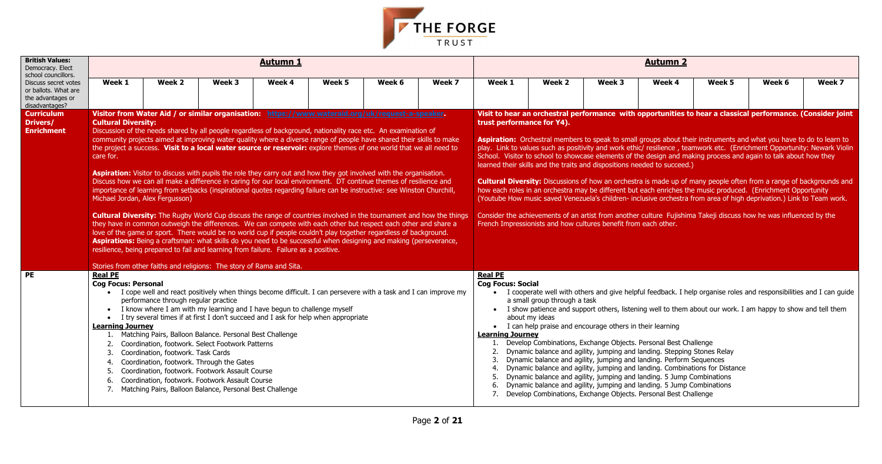| Week 5 | Week 6                                       | Week 7 |
|--------|----------------------------------------------|--------|
|        |                                              |        |
|        |                                              |        |
|        | ear a classical performance. (Consider joint |        |



| <b>British Values:</b><br>Democracy. Elect<br>school councillors.                   |                                                                            |                                                                                                                                                                                                                                                                                                                                                                                                                                                                                                                                                                                                                                                                                                                                                                                                                                                                                                                                                                                                                                                                                                                                                                                                                                                                                                                                                                                                                                                                                                      |        | <b>Autumn 1</b> |        |        |        |                                                                                                                  |                                                                                                                                                                                                                                                                                                                                                                                                                                                                                                                                                                                                                                       |        | <b>Autumn 2</b> |                                                                                                                                                                                                                                                                                                                                                                                                                                                                                                                                                                                                                                                                                                                                                                                                                                                                                                                                                                                 |        |        |
|-------------------------------------------------------------------------------------|----------------------------------------------------------------------------|------------------------------------------------------------------------------------------------------------------------------------------------------------------------------------------------------------------------------------------------------------------------------------------------------------------------------------------------------------------------------------------------------------------------------------------------------------------------------------------------------------------------------------------------------------------------------------------------------------------------------------------------------------------------------------------------------------------------------------------------------------------------------------------------------------------------------------------------------------------------------------------------------------------------------------------------------------------------------------------------------------------------------------------------------------------------------------------------------------------------------------------------------------------------------------------------------------------------------------------------------------------------------------------------------------------------------------------------------------------------------------------------------------------------------------------------------------------------------------------------------|--------|-----------------|--------|--------|--------|------------------------------------------------------------------------------------------------------------------|---------------------------------------------------------------------------------------------------------------------------------------------------------------------------------------------------------------------------------------------------------------------------------------------------------------------------------------------------------------------------------------------------------------------------------------------------------------------------------------------------------------------------------------------------------------------------------------------------------------------------------------|--------|-----------------|---------------------------------------------------------------------------------------------------------------------------------------------------------------------------------------------------------------------------------------------------------------------------------------------------------------------------------------------------------------------------------------------------------------------------------------------------------------------------------------------------------------------------------------------------------------------------------------------------------------------------------------------------------------------------------------------------------------------------------------------------------------------------------------------------------------------------------------------------------------------------------------------------------------------------------------------------------------------------------|--------|--------|
| Discuss secret votes<br>or ballots. What are<br>the advantages or<br>disadvantages? | Week 1                                                                     | Week 2                                                                                                                                                                                                                                                                                                                                                                                                                                                                                                                                                                                                                                                                                                                                                                                                                                                                                                                                                                                                                                                                                                                                                                                                                                                                                                                                                                                                                                                                                               | Week 3 | Week 4          | Week 5 | Week 6 | Week 7 | Week 1                                                                                                           | Week 2                                                                                                                                                                                                                                                                                                                                                                                                                                                                                                                                                                                                                                | Week 3 | Week 4          | Week 5                                                                                                                                                                                                                                                                                                                                                                                                                                                                                                                                                                                                                                                                                                                                                                                                                                                                                                                                                                          | Week 6 | Week 7 |
| <b>Curriculum</b><br>Drivers/<br><b>Enrichment</b>                                  | <b>Cultural Diversity:</b><br>care for.<br>Michael Jordan, Alex Fergusson) | Visitor from Water Aid / or similar organisation: https://www.wateraid.org/uk/request-a-speaker.<br>Discussion of the needs shared by all people regardless of background, nationality race etc. An examination of<br>community projects aimed at improving water quality where a diverse range of people have shared their skills to make<br>the project a success. Visit to a local water source or reservoir: explore themes of one world that we all need to<br>Aspiration: Visitor to discuss with pupils the role they carry out and how they got involved with the organisation.<br>Discuss how we can all make a difference in caring for our local environment. DT continue themes of resilience and<br>importance of learning from setbacks (inspirational quotes regarding failure can be instructive: see Winston Churchill,<br><b>Cultural Diversity:</b> The Rugby World Cup discuss the range of countries involved in the tournament and how the things<br>they have in common outweigh the differences. We can compete with each other but respect each other and share a<br>love of the game or sport. There would be no world cup if people couldn't play together regardless of background.<br>Aspirations: Being a craftsman: what skills do you need to be successful when designing and making (perseverance,<br>resilience, being prepared to fail and learning from failure. Failure as a positive.<br>Stories from other faiths and religions: The story of Rama and Sita. |        |                 |        |        |        | trust performance for Y4).                                                                                       | learned their skills and the traits and dispositions needed to succeed.)<br>French Impressionists and how cultures benefit from each other.                                                                                                                                                                                                                                                                                                                                                                                                                                                                                           |        |                 | Visit to hear an orchestral performance with opportunities to hear a classical performance. (Consider joint<br>Aspiration: Orchestral members to speak to small groups about their instruments and what you have to do to learn to<br>play. Link to values such as positivity and work ethic/ resilience, teamwork etc. (Enrichment Opportunity: Newark Violin<br>School. Visitor to school to showcase elements of the design and making process and again to talk about how they<br><b>Cultural Diversity:</b> Discussions of how an orchestra is made up of many people often from a range of backgrounds and<br>how each roles in an orchestra may be different but each enriches the music produced. (Enrichment Opportunity<br>(Youtube How music saved Venezuela's children- inclusive orchestra from area of high deprivation.) Link to Team work.<br>Consider the achievements of an artist from another culture Fujishima Takeji discuss how he was influenced by the |        |        |
| <b>PE</b>                                                                           | <b>Real PE</b><br><b>Cog Focus: Personal</b><br><b>Learning Journey</b>    | • I cope well and react positively when things become difficult. I can persevere with a task and I can improve my<br>performance through regular practice<br>• I know where I am with my learning and I have begun to challenge myself<br>I try several times if at first I don't succeed and I ask for help when appropriate<br>1. Matching Pairs, Balloon Balance. Personal Best Challenge<br>Coordination, footwork. Select Footwork Patterns<br>Coordination, footwork. Task Cards<br>Coordination, footwork. Through the Gates<br>Coordination, footwork. Footwork Assault Course<br>Coordination, footwork. Footwork Assault Course<br>Matching Pairs, Balloon Balance, Personal Best Challenge                                                                                                                                                                                                                                                                                                                                                                                                                                                                                                                                                                                                                                                                                                                                                                                                |        |                 |        |        |        | <b>Real PE</b><br><b>Cog Focus: Social</b><br>$\bullet$<br><b>Learning Journey</b><br>2.<br>3.<br>4.<br>5.<br>6. | a small group through a task<br>about my ideas<br>• I can help praise and encourage others in their learning<br>Develop Combinations, Exchange Objects. Personal Best Challenge<br>Dynamic balance and agility, jumping and landing. Stepping Stones Relay<br>Dynamic balance and agility, jumping and landing. Perform Sequences<br>Dynamic balance and agility, jumping and landing. Combinations for Distance<br>Dynamic balance and agility, jumping and landing. 5 Jump Combinations<br>Dynamic balance and agility, jumping and landing. 5 Jump Combinations<br>Develop Combinations, Exchange Objects. Personal Best Challenge |        |                 | I cooperate well with others and give helpful feedback. I help organise roles and responsibilities and I can guide<br>I show patience and support others, listening well to them about our work. I am happy to show and tell them                                                                                                                                                                                                                                                                                                                                                                                                                                                                                                                                                                                                                                                                                                                                               |        |        |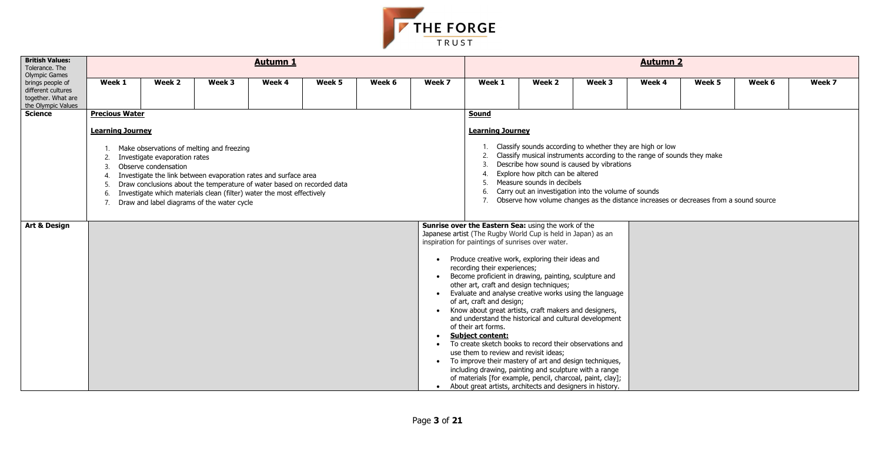

| <b>British Values:</b><br>Tolerance. The<br>Olympic Games                          |                                                                                                                                                                                                                                                                                                                                                                                                                                                                                                                                                                                                                                                                                                                                                                                                                                                                                                                                                           |                                                                                                                                                  |        | <b>Autumn 1</b>                                                                                                                                                                                                    |        |        |        |                         |                                                                |                                                                                                                                                                                                                                                                                                                                     | <b>Autumn 2</b> |        |        |        |
|------------------------------------------------------------------------------------|-----------------------------------------------------------------------------------------------------------------------------------------------------------------------------------------------------------------------------------------------------------------------------------------------------------------------------------------------------------------------------------------------------------------------------------------------------------------------------------------------------------------------------------------------------------------------------------------------------------------------------------------------------------------------------------------------------------------------------------------------------------------------------------------------------------------------------------------------------------------------------------------------------------------------------------------------------------|--------------------------------------------------------------------------------------------------------------------------------------------------|--------|--------------------------------------------------------------------------------------------------------------------------------------------------------------------------------------------------------------------|--------|--------|--------|-------------------------|----------------------------------------------------------------|-------------------------------------------------------------------------------------------------------------------------------------------------------------------------------------------------------------------------------------------------------------------------------------------------------------------------------------|-----------------|--------|--------|--------|
| brings people of<br>different cultures<br>together. What are<br>the Olympic Values | Week 1                                                                                                                                                                                                                                                                                                                                                                                                                                                                                                                                                                                                                                                                                                                                                                                                                                                                                                                                                    | Week 2                                                                                                                                           | Week 3 | Week 4                                                                                                                                                                                                             | Week 5 | Week 6 | Week 7 | Week 1                  | Week 2                                                         | Week 3                                                                                                                                                                                                                                                                                                                              | Week 4          | Week 5 | Week 6 | Week 7 |
| <b>Science</b>                                                                     | <b>Precious Water</b>                                                                                                                                                                                                                                                                                                                                                                                                                                                                                                                                                                                                                                                                                                                                                                                                                                                                                                                                     |                                                                                                                                                  |        |                                                                                                                                                                                                                    |        |        |        | Sound                   |                                                                |                                                                                                                                                                                                                                                                                                                                     |                 |        |        |        |
|                                                                                    | <b>Learning Journey</b>                                                                                                                                                                                                                                                                                                                                                                                                                                                                                                                                                                                                                                                                                                                                                                                                                                                                                                                                   |                                                                                                                                                  |        |                                                                                                                                                                                                                    |        |        |        | <b>Learning Journey</b> |                                                                |                                                                                                                                                                                                                                                                                                                                     |                 |        |        |        |
|                                                                                    | 2.<br>$\overline{3}$ .<br>$\overline{4}$<br>-5<br>-6.<br>7.                                                                                                                                                                                                                                                                                                                                                                                                                                                                                                                                                                                                                                                                                                                                                                                                                                                                                               | Make observations of melting and freezing<br>Investigate evaporation rates<br>Observe condensation<br>Draw and label diagrams of the water cycle |        | Investigate the link between evaporation rates and surface area<br>Draw conclusions about the temperature of water based on recorded data<br>Investigate which materials clean (filter) water the most effectively |        |        |        | 6.<br>7.                | Explore how pitch can be altered<br>Measure sounds in decibels | Classify sounds according to whether they are high or low<br>Classify musical instruments according to the range of sounds they make<br>Describe how sound is caused by vibrations<br>Carry out an investigation into the volume of sounds<br>Observe how volume changes as the distance increases or decreases from a sound source |                 |        |        |        |
| <b>Art &amp; Design</b>                                                            | Sunrise over the Eastern Sea: using the work of the<br>Japanese artist (The Rugby World Cup is held in Japan) as an<br>inspiration for paintings of sunrises over water.<br>Produce creative work, exploring their ideas and<br>recording their experiences;<br>Become proficient in drawing, painting, sculpture and<br>$\bullet$<br>other art, craft and design techniques;<br>Evaluate and analyse creative works using the language<br>$\bullet$<br>of art, craft and design;<br>Know about great artists, craft makers and designers,<br>and understand the historical and cultural development<br>of their art forms.<br><b>Subject content:</b><br>$\bullet$<br>To create sketch books to record their observations and<br>use them to review and revisit ideas;<br>To improve their mastery of art and design techniques,<br>including drawing, painting and sculpture with a range<br>of materials [for example, pencil, charcoal, paint, clay]; |                                                                                                                                                  |        |                                                                                                                                                                                                                    |        |        |        |                         |                                                                |                                                                                                                                                                                                                                                                                                                                     |                 |        |        |        |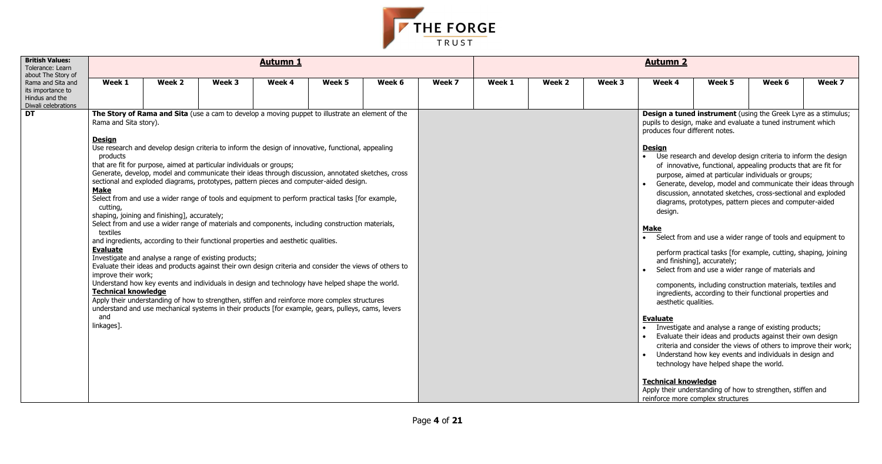| Week 5 | Week 6 | Week 7 |
|--------|--------|--------|
|        |        |        |

**Instrument** (using the Greek Lyre as a stimulus; nake and evaluate a tuned instrument which erent notes.

and develop design criteria to inform the design functional, appealing products that are fit for ed at particular individuals or groups; velop, model and communicate their ideas through notated sketches, cross-sectional and exploded totypes, pattern pieces and computer-aided

- ical tasks [for example, cutting, shaping, joining accurately;
- $\overline{\phantom{a}}$  od use a wider range of materials and

nd analyse a range of existing products;  $\cdot$  ideas and products against their own design onsider the views of others to improve their work; ow key events and individuals in design and ive helped shape the world.

#### **edge**



| <b>British Values:</b><br>Tolerance: Learn                                                            |                                                                                                                                                                                        |                                                                                                                                                                                                                                                                                                                                                                                                                                                                                                                                                                                                                                                                                                                                                                                                                                                                                                                                                                                                                                                                                                                                                                                                                                                                                                             |        | <b>Autumn 1</b> |        |        |        |        |        |        | <b>Autumn 2</b>                                                                                                                                          |                                                                                                             |                                                                                                                                                                                                                                                                                                                                                                                                                                                                                                                                                                                                                                                                                                                                                                                                                                                                                                                                                                                                                                                                                                                                                    |        |
|-------------------------------------------------------------------------------------------------------|----------------------------------------------------------------------------------------------------------------------------------------------------------------------------------------|-------------------------------------------------------------------------------------------------------------------------------------------------------------------------------------------------------------------------------------------------------------------------------------------------------------------------------------------------------------------------------------------------------------------------------------------------------------------------------------------------------------------------------------------------------------------------------------------------------------------------------------------------------------------------------------------------------------------------------------------------------------------------------------------------------------------------------------------------------------------------------------------------------------------------------------------------------------------------------------------------------------------------------------------------------------------------------------------------------------------------------------------------------------------------------------------------------------------------------------------------------------------------------------------------------------|--------|-----------------|--------|--------|--------|--------|--------|--------|----------------------------------------------------------------------------------------------------------------------------------------------------------|-------------------------------------------------------------------------------------------------------------|----------------------------------------------------------------------------------------------------------------------------------------------------------------------------------------------------------------------------------------------------------------------------------------------------------------------------------------------------------------------------------------------------------------------------------------------------------------------------------------------------------------------------------------------------------------------------------------------------------------------------------------------------------------------------------------------------------------------------------------------------------------------------------------------------------------------------------------------------------------------------------------------------------------------------------------------------------------------------------------------------------------------------------------------------------------------------------------------------------------------------------------------------|--------|
| about The Story of<br>Rama and Sita and<br>its importance to<br>Hindus and the<br>Diwali celebrations | Week 1                                                                                                                                                                                 | Week 2                                                                                                                                                                                                                                                                                                                                                                                                                                                                                                                                                                                                                                                                                                                                                                                                                                                                                                                                                                                                                                                                                                                                                                                                                                                                                                      | Week 3 | Week 4          | Week 5 | Week 6 | Week 7 | Week 1 | Week 2 | Week 3 | Week 4                                                                                                                                                   | Week 5                                                                                                      | Week 6                                                                                                                                                                                                                                                                                                                                                                                                                                                                                                                                                                                                                                                                                                                                                                                                                                                                                                                                                                                                                                                                                                                                             | Week 7 |
| <b>DT</b>                                                                                             | Rama and Sita story).<br><b>Design</b><br>products<br><b>Make</b><br>cutting,<br>textiles<br><b>Evaluate</b><br>improve their work;<br><b>Technical knowledge</b><br>and<br>linkages]. | The Story of Rama and Sita (use a cam to develop a moving puppet to illustrate an element of the<br>Use research and develop design criteria to inform the design of innovative, functional, appealing<br>that are fit for purpose, aimed at particular individuals or groups;<br>Generate, develop, model and communicate their ideas through discussion, annotated sketches, cross<br>sectional and exploded diagrams, prototypes, pattern pieces and computer-aided design.<br>Select from and use a wider range of tools and equipment to perform practical tasks [for example,<br>shaping, joining and finishing], accurately;<br>Select from and use a wider range of materials and components, including construction materials,<br>and ingredients, according to their functional properties and aesthetic qualities.<br>Investigate and analyse a range of existing products;<br>Evaluate their ideas and products against their own design criteria and consider the views of others to<br>Understand how key events and individuals in design and technology have helped shape the world.<br>Apply their understanding of how to strengthen, stiffen and reinforce more complex structures<br>understand and use mechanical systems in their products [for example, gears, pulleys, cams, levers |        |                 |        |        |        |        |        |        | produces four different notes.<br><b>Design</b><br>design.<br>Make<br>aesthetic qualities.<br><b>Evaluate</b><br>$\bullet$<br><b>Technical knowledge</b> | and finishing], accurately;<br>technology have helped shape the world.<br>reinforce more complex structures | Design a tuned instrument (using the Greek Lyre as a stimulu<br>pupils to design, make and evaluate a tuned instrument which<br>Use research and develop design criteria to inform the desig<br>of innovative, functional, appealing products that are fit for<br>purpose, aimed at particular individuals or groups;<br>Generate, develop, model and communicate their ideas thror<br>discussion, annotated sketches, cross-sectional and exploded<br>diagrams, prototypes, pattern pieces and computer-aided<br>Select from and use a wider range of tools and equipment to<br>perform practical tasks [for example, cutting, shaping, joinin<br>Select from and use a wider range of materials and<br>components, including construction materials, textiles and<br>ingredients, according to their functional properties and<br>Investigate and analyse a range of existing products;<br>Evaluate their ideas and products against their own design<br>criteria and consider the views of others to improve their wo<br>Understand how key events and individuals in design and<br>Apply their understanding of how to strengthen, stiffen and |        |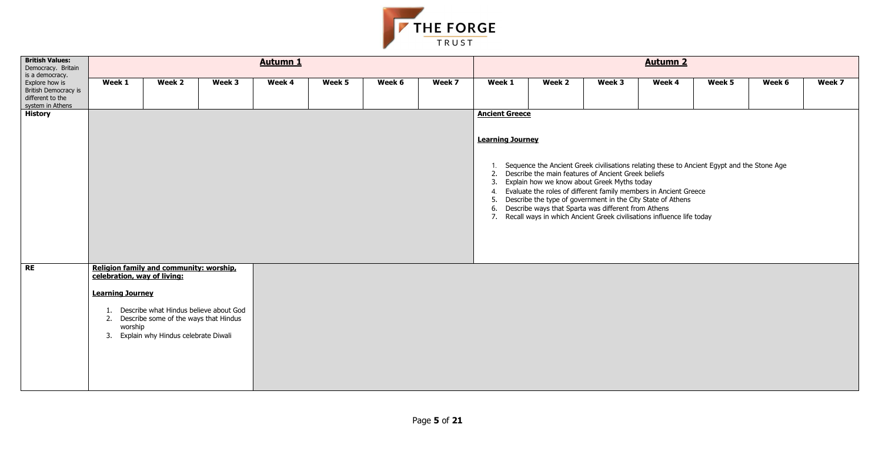

| <b>British Values:</b><br>Democracy. Britain                                                      |                                                                   |                                                                                                                                                                            |        | <b>Autumn 1</b> |        |        |        |                                                  |                                                                                                                                                                                                                                                                                                                                                                                         |        | <b>Autumn 2</b> |                                                                                               |        |        |
|---------------------------------------------------------------------------------------------------|-------------------------------------------------------------------|----------------------------------------------------------------------------------------------------------------------------------------------------------------------------|--------|-----------------|--------|--------|--------|--------------------------------------------------|-----------------------------------------------------------------------------------------------------------------------------------------------------------------------------------------------------------------------------------------------------------------------------------------------------------------------------------------------------------------------------------------|--------|-----------------|-----------------------------------------------------------------------------------------------|--------|--------|
| is a democracy.<br>Explore how is<br>British Democracy is<br>different to the<br>system in Athens | Week 1                                                            | Week 2                                                                                                                                                                     | Week 3 | Week 4          | Week 5 | Week 6 | Week 7 | Week 1                                           | Week 2                                                                                                                                                                                                                                                                                                                                                                                  | Week 3 | Week 4          | Week 5                                                                                        | Week 6 | Week 7 |
| <b>History</b>                                                                                    |                                                                   |                                                                                                                                                                            |        |                 |        |        |        | <b>Ancient Greece</b><br><b>Learning Journey</b> | 2. Describe the main features of Ancient Greek beliefs<br>3. Explain how we know about Greek Myths today<br>4. Evaluate the roles of different family members in Ancient Greece<br>5. Describe the type of government in the City State of Athens<br>6. Describe ways that Sparta was different from Athens<br>7. Recall ways in which Ancient Greek civilisations influence life today |        |                 | 1. Sequence the Ancient Greek civilisations relating these to Ancient Egypt and the Stone Age |        |        |
| <b>RE</b>                                                                                         | celebration, way of living:<br><b>Learning Journey</b><br>worship | Religion family and community: worship,<br>1. Describe what Hindus believe about God<br>2. Describe some of the ways that Hindus<br>3. Explain why Hindus celebrate Diwali |        |                 |        |        |        |                                                  |                                                                                                                                                                                                                                                                                                                                                                                         |        |                 |                                                                                               |        |        |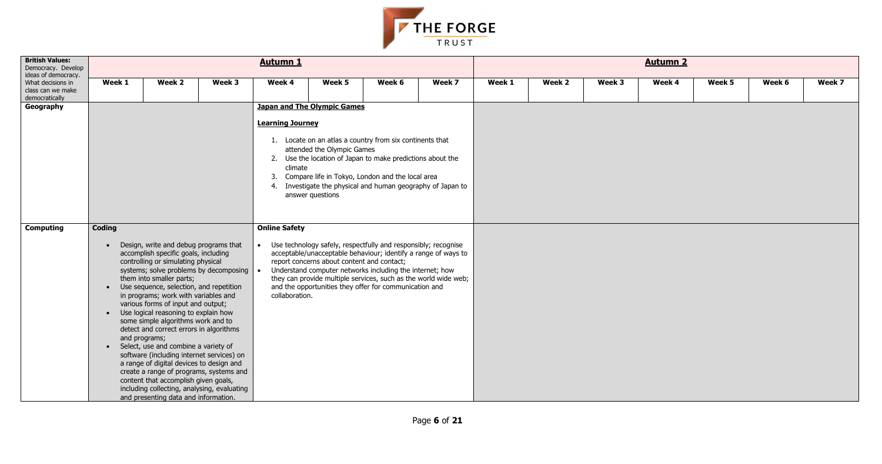| Week 5 | Week 6 | Week 7 |
|--------|--------|--------|
|        |        |        |
|        |        |        |
|        |        |        |
|        |        |        |
|        |        |        |
|        |        |        |
|        |        |        |
|        |        |        |
|        |        |        |
|        |        |        |
|        |        |        |
|        |        |        |
|        |        |        |
|        |        |        |
|        |        |        |



| <b>British Values:</b><br>Democracy. Develop<br>ideas of democracy. |                                         |                                                                                                                                                                                                                                                                                                                                                                                                                                                                                                                                                                                                                                                                                                                                                                         |        | <b>Autumn 1</b>                        |                                                                                      |                                                                                                                                                                                                                                                                                                                           |        |        |        |        | <b>Autumn 2</b> |        |        |        |
|---------------------------------------------------------------------|-----------------------------------------|-------------------------------------------------------------------------------------------------------------------------------------------------------------------------------------------------------------------------------------------------------------------------------------------------------------------------------------------------------------------------------------------------------------------------------------------------------------------------------------------------------------------------------------------------------------------------------------------------------------------------------------------------------------------------------------------------------------------------------------------------------------------------|--------|----------------------------------------|--------------------------------------------------------------------------------------|---------------------------------------------------------------------------------------------------------------------------------------------------------------------------------------------------------------------------------------------------------------------------------------------------------------------------|--------|--------|--------|--------|-----------------|--------|--------|--------|
| What decisions in<br>class can we make<br>democratically            | Week 1                                  | Week 2                                                                                                                                                                                                                                                                                                                                                                                                                                                                                                                                                                                                                                                                                                                                                                  | Week 3 | Week 4                                 | Week 5                                                                               | Week 6                                                                                                                                                                                                                                                                                                                    | Week 7 | Week 1 | Week 2 | Week 3 | Week 4          | Week 5 | Week 6 | Week 7 |
| Geography                                                           |                                         |                                                                                                                                                                                                                                                                                                                                                                                                                                                                                                                                                                                                                                                                                                                                                                         |        | <b>Learning Journey</b><br>climate     | <b>Japan and The Olympic Games</b><br>attended the Olympic Games<br>answer questions | 1. Locate on an atlas a country from six continents that<br>2. Use the location of Japan to make predictions about the<br>3. Compare life in Tokyo, London and the local area<br>4. Investigate the physical and human geography of Japan to                                                                              |        |        |        |        |                 |        |        |        |
| <b>Computing</b>                                                    | <b>Coding</b><br>$\bullet$<br>$\bullet$ | Design, write and debug programs that<br>accomplish specific goals, including<br>controlling or simulating physical<br>systems; solve problems by decomposing<br>them into smaller parts;<br>Use sequence, selection, and repetition<br>in programs; work with variables and<br>various forms of input and output;<br>Use logical reasoning to explain how<br>some simple algorithms work and to<br>detect and correct errors in algorithms<br>and programs;<br>Select, use and combine a variety of<br>software (including internet services) on<br>a range of digital devices to design and<br>create a range of programs, systems and<br>content that accomplish given goals,<br>including collecting, analysing, evaluating<br>and presenting data and information. |        | <b>Online Safety</b><br>collaboration. | report concerns about content and contact;                                           | Use technology safely, respectfully and responsibly; recognise<br>acceptable/unacceptable behaviour; identify a range of ways to<br>Understand computer networks including the internet; how<br>they can provide multiple services, such as the world wide web;<br>and the opportunities they offer for communication and |        |        |        |        |                 |        |        |        |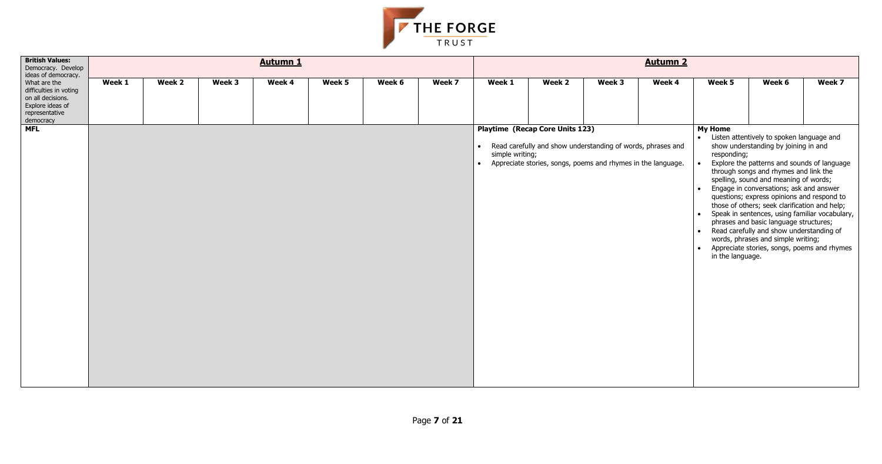- 
- 
- 
- 
- 
- 



| <b>British Values:</b><br>Democracy. Develop<br>ideas of democracy.                                                          |        |        |        | <b>Autumn 1</b> |        |        |        |                              |                                                                                                                               |        | <b>Autumn 2</b> |                                                                                                  |                                                                                                                                                                                                                                                                                                                                                                                                                                                                                                                                                                                           |        |
|------------------------------------------------------------------------------------------------------------------------------|--------|--------|--------|-----------------|--------|--------|--------|------------------------------|-------------------------------------------------------------------------------------------------------------------------------|--------|-----------------|--------------------------------------------------------------------------------------------------|-------------------------------------------------------------------------------------------------------------------------------------------------------------------------------------------------------------------------------------------------------------------------------------------------------------------------------------------------------------------------------------------------------------------------------------------------------------------------------------------------------------------------------------------------------------------------------------------|--------|
| What are the<br>difficulties in voting<br>on all decisions.<br>Explore ideas of<br>representative<br>democracy<br><b>MFL</b> | Week 1 | Week 2 | Week 3 | Week 4          | Week 5 | Week 6 | Week 7 | Week 1                       | Week 2<br><b>Playtime (Recap Core Units 123)</b>                                                                              | Week 3 | Week 4          | Week 5<br><b>My Home</b>                                                                         | Week 6                                                                                                                                                                                                                                                                                                                                                                                                                                                                                                                                                                                    | Week 7 |
|                                                                                                                              |        |        |        |                 |        |        |        | simple writing;<br>$\bullet$ | • Read carefully and show understanding of words, phrases and<br>Appreciate stories, songs, poems and rhymes in the language. |        |                 | $\bullet$<br>responding;<br>$\bullet$<br>$\bullet$<br>$\bullet$<br>$\bullet$<br>in the language. | Listen attentively to spoken language and<br>show understanding by joining in and<br>Explore the patterns and sounds of language<br>through songs and rhymes and link the<br>spelling, sound and meaning of words;<br>Engage in conversations; ask and answer<br>questions; express opinions and respond to<br>those of others; seek clarification and help;<br>Speak in sentences, using familiar vocabulary,<br>phrases and basic language structures;<br>Read carefully and show understanding of<br>words, phrases and simple writing;<br>Appreciate stories, songs, poems and rhymes |        |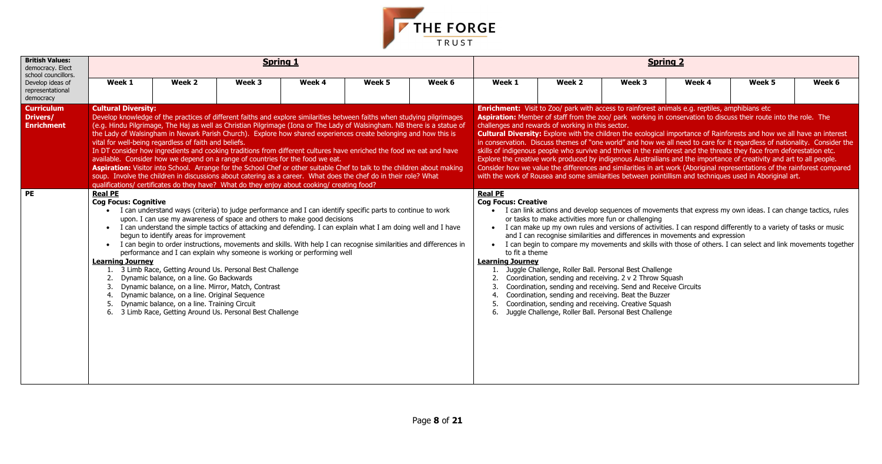| Week 5<br>Week <sub>6</sub><br>k <sub>4</sub><br>eptiles, amphibians etc<br>on to discuss their route into the role. The<br>e of Rainforests and how we all have an interest<br>care for it regardless of nationality. Consider the<br>the threats they face from deforestation etc.<br>mportance of creativity and art to all people.<br>iginal representations of the rainforest compared<br>echniques used in Aboriginal art. |  |  |
|----------------------------------------------------------------------------------------------------------------------------------------------------------------------------------------------------------------------------------------------------------------------------------------------------------------------------------------------------------------------------------------------------------------------------------|--|--|
|                                                                                                                                                                                                                                                                                                                                                                                                                                  |  |  |
|                                                                                                                                                                                                                                                                                                                                                                                                                                  |  |  |
| xpress my own ideas. I can change tactics, rules<br>spond differently to a variety of tasks or music                                                                                                                                                                                                                                                                                                                             |  |  |
|                                                                                                                                                                                                                                                                                                                                                                                                                                  |  |  |
| and expression<br>others. I can select and link movements together                                                                                                                                                                                                                                                                                                                                                               |  |  |
| 5                                                                                                                                                                                                                                                                                                                                                                                                                                |  |  |
|                                                                                                                                                                                                                                                                                                                                                                                                                                  |  |  |



| <b>British Values:</b><br>democracy. Elect<br>school councillors. |                                                                                |                                                                                                                                                                                                                                                                                                                                                                                                                                                                                                                                                                                                                                                                                                                                                                                                                                                                                                                                                                                           |        | <b>Spring 1</b> |        |        |                                                                                                                                                            |                                                                                                                                                                                                                                                                                                                                                                                                                                                                                                                                                                                                                                                                                                                                               |                                                                                                                                                                                                                                                                                                                                                                                                                      | <b>Spring 2</b>                                                                                                                                                                                                                                                                                                                                                                                                                  |        |        |
|-------------------------------------------------------------------|--------------------------------------------------------------------------------|-------------------------------------------------------------------------------------------------------------------------------------------------------------------------------------------------------------------------------------------------------------------------------------------------------------------------------------------------------------------------------------------------------------------------------------------------------------------------------------------------------------------------------------------------------------------------------------------------------------------------------------------------------------------------------------------------------------------------------------------------------------------------------------------------------------------------------------------------------------------------------------------------------------------------------------------------------------------------------------------|--------|-----------------|--------|--------|------------------------------------------------------------------------------------------------------------------------------------------------------------|-----------------------------------------------------------------------------------------------------------------------------------------------------------------------------------------------------------------------------------------------------------------------------------------------------------------------------------------------------------------------------------------------------------------------------------------------------------------------------------------------------------------------------------------------------------------------------------------------------------------------------------------------------------------------------------------------------------------------------------------------|----------------------------------------------------------------------------------------------------------------------------------------------------------------------------------------------------------------------------------------------------------------------------------------------------------------------------------------------------------------------------------------------------------------------|----------------------------------------------------------------------------------------------------------------------------------------------------------------------------------------------------------------------------------------------------------------------------------------------------------------------------------------------------------------------------------------------------------------------------------|--------|--------|
| Develop ideas of<br>representational<br>democracy                 | Week 1                                                                         | Week 2                                                                                                                                                                                                                                                                                                                                                                                                                                                                                                                                                                                                                                                                                                                                                                                                                                                                                                                                                                                    | Week 3 | Week 4          | Week 5 | Week 6 | Week 1                                                                                                                                                     | Week 2                                                                                                                                                                                                                                                                                                                                                                                                                                                                                                                                                                                                                                                                                                                                        | Week 3                                                                                                                                                                                                                                                                                                                                                                                                               | Week 4                                                                                                                                                                                                                                                                                                                                                                                                                           | Week 5 | Week 6 |
| <b>Curriculum</b><br>Drivers/<br><b>Enrichment</b>                | <b>Cultural Diversity:</b>                                                     | Develop knowledge of the practices of different faiths and explore similarities between faiths when studying pilgrimages<br>(e.g. Hindu Pilgrimage, The Haj as well as Christian Pilgrimage (Iona or The Lady of Walsingham. NB there is a statue of<br>the Lady of Walsingham in Newark Parish Church). Explore how shared experiences create belonging and how this is<br>vital for well-being regardless of faith and beliefs.<br>In DT consider how ingredients and cooking traditions from different cultures have enriched the food we eat and have<br>available. Consider how we depend on a range of countries for the food we eat.<br>Aspiration: Visitor into School. Arrange for the School Chef or other suitable Chef to talk to the children about making<br>soup. Involve the children in discussions about catering as a career. What does the chef do in their role? What<br>qualifications/ certificates do they have? What do they enjoy about cooking/ creating food? |        |                 |        |        | <b>Enrichment:</b> Visit to Zoo/ park with access to rainforest animals e.g. reptiles, amphibians etc<br>challenges and rewards of working in this sector. | Aspiration: Member of staff from the zoo/ park working in conservation to discuss their route into the role. The<br><b>Cultural Diversity:</b> Explore with the children the ecological importance of Rainforests and how we all have an interest<br>skills of indigenous people who survive and thrive in the rainforest and the threats they face from deforestation etc.<br>Explore the creative work produced by indigenous Austrailians and the importance of creativity and art to all people.<br>Consider how we value the differences and similarities in art work (Aboriginal representations of the rainforest compared<br>with the work of Rousea and some similarities between pointillism and techniques used in Aboriginal art. | in conservation. Discuss themes of "one world" and how we all need to care for it regardless of nationality. Consider the                                                                                                                                                                                                                                                                                            |                                                                                                                                                                                                                                                                                                                                                                                                                                  |        |        |
| <b>PE</b>                                                         | <b>Real PE</b><br><b>Cog Focus: Cognitive</b><br><b>Learning Journey</b><br>6. | • I can understand ways (criteria) to judge performance and I can identify specific parts to continue to work<br>upon. I can use my awareness of space and others to make good decisions<br>I can understand the simple tactics of attacking and defending. I can explain what I am doing well and I have<br>begun to identify areas for improvement<br>I can begin to order instructions, movements and skills. With help I can recognise similarities and differences in<br>performance and I can explain why someone is working or performing well<br>3 Limb Race, Getting Around Us. Personal Best Challenge<br>Dynamic balance, on a line. Go Backwards<br>Dynamic balance, on a line. Mirror, Match, Contrast<br>Dynamic balance, on a line. Original Sequence<br>Dynamic balance, on a line. Training Circuit<br>3 Limb Race, Getting Around Us. Personal Best Challenge                                                                                                           |        |                 |        |        | <b>Real PE</b><br><b>Cog Focus: Creative</b><br>$\bullet$<br>$\bullet$<br>to fit a theme<br><b>Learning Journey</b><br>2.<br>4.<br>5.                      |                                                                                                                                                                                                                                                                                                                                                                                                                                                                                                                                                                                                                                                                                                                                               | or tasks to make activities more fun or challenging<br>Juggle Challenge, Roller Ball. Personal Best Challenge<br>Coordination, sending and receiving. 2 v 2 Throw Squash<br>Coordination, sending and receiving. Send and Receive Circuits<br>Coordination, sending and receiving. Beat the Buzzer<br>Coordination, sending and receiving. Creative Squash<br>Juggle Challenge, Roller Ball. Personal Best Challenge | I can link actions and develop sequences of movements that express my own ideas. I can change tactics, rules<br>I can make up my own rules and versions of activities. I can respond differently to a variety of tasks or music<br>and I can recognise similarities and differences in movements and expression<br>I can begin to compare my movements and skills with those of others. I can select and link movements together |        |        |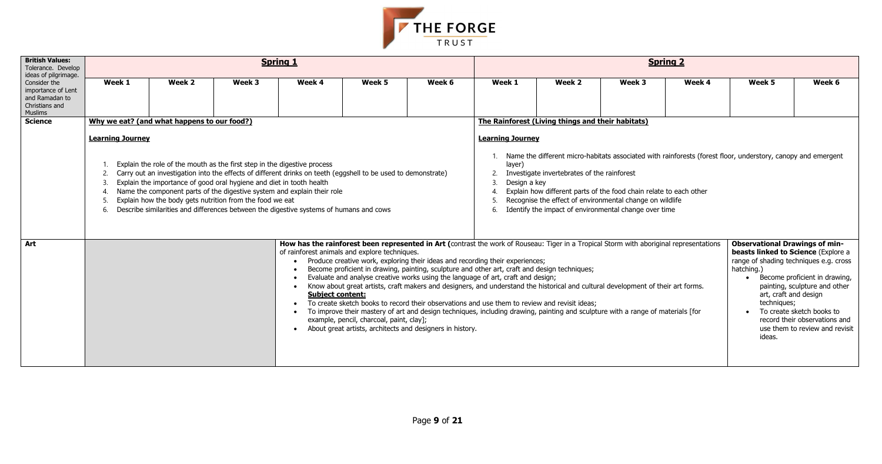

| <b>British Values:</b><br>Tolerance. Develop<br>ideas of pilgrimage.                     |                                                   |                                                                                                                                                                                                                                                                                                                                                                                                                                                                                                    |        | <b>Spring 1</b>                                                                                                                                                                                                     |                                          |                                                                                                                                                                                                                                                                                                                                                                                                                                                                                                                                                                                                                                                                                                         |                                                                                                                                                                                                                                                                                                                                                                                                                   |                                                   |        | <b>Spring 2</b> |                                                                                                                                                                                        |                                                                                                                                                                |  |  |  |
|------------------------------------------------------------------------------------------|---------------------------------------------------|----------------------------------------------------------------------------------------------------------------------------------------------------------------------------------------------------------------------------------------------------------------------------------------------------------------------------------------------------------------------------------------------------------------------------------------------------------------------------------------------------|--------|---------------------------------------------------------------------------------------------------------------------------------------------------------------------------------------------------------------------|------------------------------------------|---------------------------------------------------------------------------------------------------------------------------------------------------------------------------------------------------------------------------------------------------------------------------------------------------------------------------------------------------------------------------------------------------------------------------------------------------------------------------------------------------------------------------------------------------------------------------------------------------------------------------------------------------------------------------------------------------------|-------------------------------------------------------------------------------------------------------------------------------------------------------------------------------------------------------------------------------------------------------------------------------------------------------------------------------------------------------------------------------------------------------------------|---------------------------------------------------|--------|-----------------|----------------------------------------------------------------------------------------------------------------------------------------------------------------------------------------|----------------------------------------------------------------------------------------------------------------------------------------------------------------|--|--|--|
| Consider the<br>importance of Lent<br>and Ramadan to<br>Christians and<br><b>Muslims</b> | Week 1                                            | Week 2                                                                                                                                                                                                                                                                                                                                                                                                                                                                                             | Week 3 | Week 4                                                                                                                                                                                                              | Week 5                                   | Week 6                                                                                                                                                                                                                                                                                                                                                                                                                                                                                                                                                                                                                                                                                                  | Week 1                                                                                                                                                                                                                                                                                                                                                                                                            | Week 2                                            | Week 3 | Week 4          | Week 5                                                                                                                                                                                 | Week 6                                                                                                                                                         |  |  |  |
| <b>Science</b>                                                                           |                                                   | Why we eat? (and what happens to our food?)                                                                                                                                                                                                                                                                                                                                                                                                                                                        |        |                                                                                                                                                                                                                     |                                          |                                                                                                                                                                                                                                                                                                                                                                                                                                                                                                                                                                                                                                                                                                         |                                                                                                                                                                                                                                                                                                                                                                                                                   | The Rainforest (Living things and their habitats) |        |                 |                                                                                                                                                                                        |                                                                                                                                                                |  |  |  |
|                                                                                          | <b>Learning Journey</b><br>2.<br>$\overline{3}$ . | Explain the role of the mouth as the first step in the digestive process<br>Carry out an investigation into the effects of different drinks on teeth (eggshell to be used to demonstrate)<br>Explain the importance of good oral hygiene and diet in tooth health<br>Name the component parts of the digestive system and explain their role<br>Explain how the body gets nutrition from the food we eat<br>Describe similarities and differences between the digestive systems of humans and cows |        |                                                                                                                                                                                                                     |                                          |                                                                                                                                                                                                                                                                                                                                                                                                                                                                                                                                                                                                                                                                                                         | <b>Learning Journey</b><br>Name the different micro-habitats associated with rainforests (forest floor, understory, canopy and emergent<br>layer)<br>Investigate invertebrates of the rainforest<br>Design a key<br>3.<br>Explain how different parts of the food chain relate to each other<br>Recognise the effect of environmental change on wildlife<br>Identify the impact of environmental change over time |                                                   |        |                 |                                                                                                                                                                                        |                                                                                                                                                                |  |  |  |
| Art                                                                                      |                                                   |                                                                                                                                                                                                                                                                                                                                                                                                                                                                                                    |        | How has the rainforest been represented in Art (contrast the work of Rouseau: Tiger in a Tropical Storm with aboriginal representations<br>of rainforest animals and explore techniques.<br><b>Subject content:</b> | example, pencil, charcoal, paint, clay]; | Produce creative work, exploring their ideas and recording their experiences;<br>Become proficient in drawing, painting, sculpture and other art, craft and design techniques;<br>Evaluate and analyse creative works using the language of art, craft and design;<br>Know about great artists, craft makers and designers, and understand the historical and cultural development of their art forms.<br>To create sketch books to record their observations and use them to review and revisit ideas;<br>To improve their mastery of art and design techniques, including drawing, painting and sculpture with a range of materials [for<br>About great artists, architects and designers in history. |                                                                                                                                                                                                                                                                                                                                                                                                                   |                                                   |        |                 | <b>Observational Drawings of min-</b><br>beasts linked to Science (Explore a<br>range of shading techniques e.g. cross<br>hatching.)<br>art, craft and design<br>techniques;<br>ideas. | Become proficient in drawing,<br>painting, sculpture and other<br>To create sketch books to<br>record their observations and<br>use them to review and revisit |  |  |  |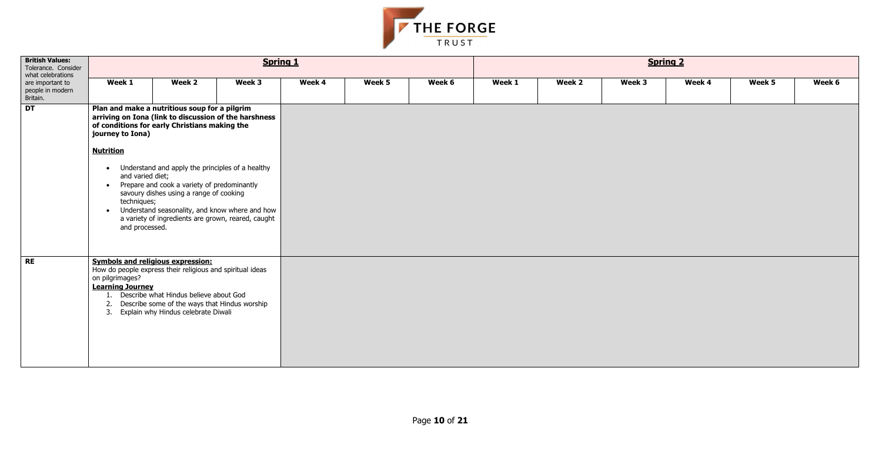

| <b>British Values:</b><br>Tolerance. Consider<br>what celebrations |                                                                                                                                                                                                                                                                                                                                     | <b>Spring 1</b>                                                                                                                                                                                                                                                          |        |        |        |        | <b>Spring 2</b> |        |        |        |        |        |  |
|--------------------------------------------------------------------|-------------------------------------------------------------------------------------------------------------------------------------------------------------------------------------------------------------------------------------------------------------------------------------------------------------------------------------|--------------------------------------------------------------------------------------------------------------------------------------------------------------------------------------------------------------------------------------------------------------------------|--------|--------|--------|--------|-----------------|--------|--------|--------|--------|--------|--|
| are important to<br>people in modern<br>Britain.                   | Week 1                                                                                                                                                                                                                                                                                                                              | Week 2                                                                                                                                                                                                                                                                   | Week 3 | Week 4 | Week 5 | Week 6 | Week 1          | Week 2 | Week 3 | Week 4 | Week 5 | Week 6 |  |
| DT                                                                 | journey to Iona)                                                                                                                                                                                                                                                                                                                    | Plan and make a nutritious soup for a pilgrim<br>arriving on Iona (link to discussion of the harshness<br>of conditions for early Christians making the                                                                                                                  |        |        |        |        |                 |        |        |        |        |        |  |
|                                                                    | <b>Nutrition</b>                                                                                                                                                                                                                                                                                                                    |                                                                                                                                                                                                                                                                          |        |        |        |        |                 |        |        |        |        |        |  |
|                                                                    | • Understand and apply the principles of a healthy<br>and varied diet;<br>Prepare and cook a variety of predominantly<br>$\bullet$<br>savoury dishes using a range of cooking<br>techniques;<br>Understand seasonality, and know where and how<br>$\bullet$<br>a variety of ingredients are grown, reared, caught<br>and processed. |                                                                                                                                                                                                                                                                          |        |        |        |        |                 |        |        |        |        |        |  |
| RE                                                                 | on pilgrimages?<br>2.                                                                                                                                                                                                                                                                                                               | <b>Symbols and religious expression:</b><br>How do people express their religious and spiritual ideas<br><b>Learning Journey</b><br>1. Describe what Hindus believe about God<br>Describe some of the ways that Hindus worship<br>3. Explain why Hindus celebrate Diwali |        |        |        |        |                 |        |        |        |        |        |  |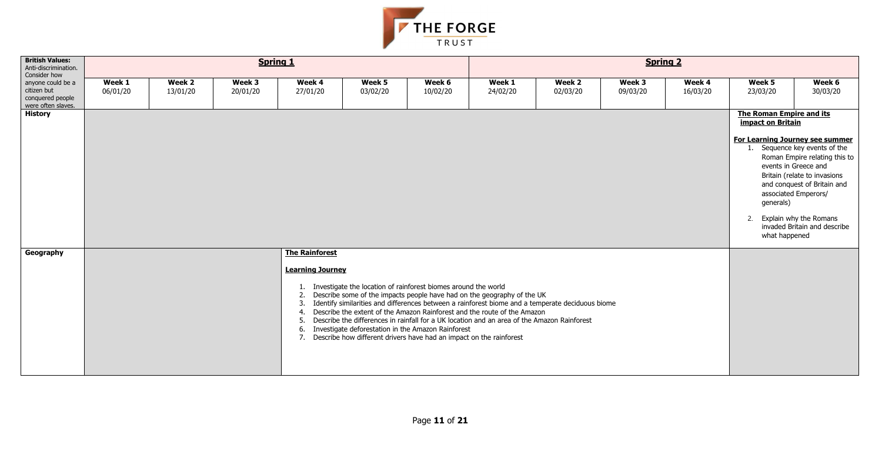

| <b>British Values:</b><br>Anti-discrimination.<br>Consider how             |                    |                    | <b>Spring 1</b>    |                                                                                |                                                                                                                                                                                                |                    | <b>Spring 2</b>                                                                                                                                                                                                                                                                                                                                        |                    |                    |                    |                                                                                                                                                                      |                                                                                                                                                                                      |  |  |  |
|----------------------------------------------------------------------------|--------------------|--------------------|--------------------|--------------------------------------------------------------------------------|------------------------------------------------------------------------------------------------------------------------------------------------------------------------------------------------|--------------------|--------------------------------------------------------------------------------------------------------------------------------------------------------------------------------------------------------------------------------------------------------------------------------------------------------------------------------------------------------|--------------------|--------------------|--------------------|----------------------------------------------------------------------------------------------------------------------------------------------------------------------|--------------------------------------------------------------------------------------------------------------------------------------------------------------------------------------|--|--|--|
| anyone could be a<br>citizen but<br>conquered people<br>were often slaves. | Week 1<br>06/01/20 | Week 2<br>13/01/20 | Week 3<br>20/01/20 | Week 4<br>27/01/20                                                             | Week 5<br>03/02/20                                                                                                                                                                             | Week 6<br>10/02/20 | Week 1<br>24/02/20                                                                                                                                                                                                                                                                                                                                     | Week 2<br>02/03/20 | Week 3<br>09/03/20 | Week 4<br>16/03/20 | Week 5<br>23/03/20                                                                                                                                                   | Week 6<br>30/03/20                                                                                                                                                                   |  |  |  |
| <b>History</b>                                                             |                    |                    |                    |                                                                                |                                                                                                                                                                                                |                    |                                                                                                                                                                                                                                                                                                                                                        |                    |                    |                    | The Roman Empire and its<br>impact on Britain<br>For Learning Journey see summer<br>events in Greece and<br>associated Emperors/<br>generals)<br>2.<br>what happened | Sequence key events of the<br>Roman Empire relating this to<br>Britain (relate to invasions<br>and conquest of Britain and<br>Explain why the Romans<br>invaded Britain and describe |  |  |  |
| Geography                                                                  |                    |                    |                    | <b>The Rainforest</b><br><b>Learning Journey</b><br>2.<br>3.<br>4.<br>6.<br>7. | 1. Investigate the location of rainforest biomes around the world<br>Investigate deforestation in the Amazon Rainforest<br>Describe how different drivers have had an impact on the rainforest |                    | Describe some of the impacts people have had on the geography of the UK<br>Identify similarities and differences between a rainforest biome and a temperate deciduous biome<br>Describe the extent of the Amazon Rainforest and the route of the Amazon<br>Describe the differences in rainfall for a UK location and an area of the Amazon Rainforest |                    |                    |                    |                                                                                                                                                                      |                                                                                                                                                                                      |  |  |  |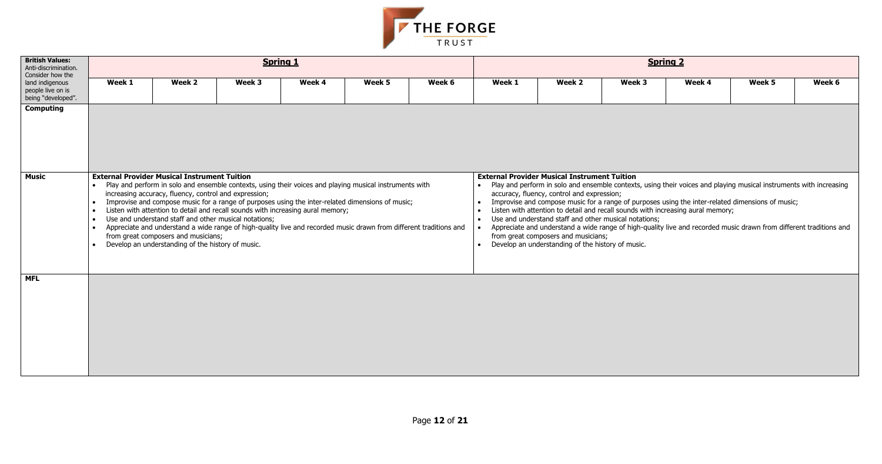| k 4 | Week 5 | Week 6 |
|-----|--------|--------|
|     |        |        |
|     |        |        |

- $s$  and playing musical instruments with increasing
- nter-related dimensions of music; ral memory;
- ecorded music drawn from different traditions and



| <b>British Values:</b><br>Anti-discrimination.<br>Consider how the |                                                               |                                                                                                                                                                                                                                                                                                                                                                                                                                                                                                                                                                                                                                                                                           | <b>Spring 1</b> |        |        |        | <b>Spring 2</b> |                                                                                                                                                                                                                                                                                                                                                                                                                                                                                                                                                                                                                                                                                    |        |        |        |        |  |  |  |
|--------------------------------------------------------------------|---------------------------------------------------------------|-------------------------------------------------------------------------------------------------------------------------------------------------------------------------------------------------------------------------------------------------------------------------------------------------------------------------------------------------------------------------------------------------------------------------------------------------------------------------------------------------------------------------------------------------------------------------------------------------------------------------------------------------------------------------------------------|-----------------|--------|--------|--------|-----------------|------------------------------------------------------------------------------------------------------------------------------------------------------------------------------------------------------------------------------------------------------------------------------------------------------------------------------------------------------------------------------------------------------------------------------------------------------------------------------------------------------------------------------------------------------------------------------------------------------------------------------------------------------------------------------------|--------|--------|--------|--------|--|--|--|
| land indigenous<br>people live on is<br>being "developed".         | Week 1                                                        | Week 2                                                                                                                                                                                                                                                                                                                                                                                                                                                                                                                                                                                                                                                                                    | Week 3          | Week 4 | Week 5 | Week 6 | Week 1          | Week 2                                                                                                                                                                                                                                                                                                                                                                                                                                                                                                                                                                                                                                                                             | Week 3 | Week 4 | Week 5 | Week 6 |  |  |  |
| <b>Computing</b>                                                   |                                                               |                                                                                                                                                                                                                                                                                                                                                                                                                                                                                                                                                                                                                                                                                           |                 |        |        |        |                 |                                                                                                                                                                                                                                                                                                                                                                                                                                                                                                                                                                                                                                                                                    |        |        |        |        |  |  |  |
| <b>Music</b>                                                       | $\bullet$<br>$\bullet$<br>$\bullet$<br>$\bullet$<br>$\bullet$ | <b>External Provider Musical Instrument Tuition</b><br>Play and perform in solo and ensemble contexts, using their voices and playing musical instruments with<br>increasing accuracy, fluency, control and expression;<br>Improvise and compose music for a range of purposes using the inter-related dimensions of music;<br>Listen with attention to detail and recall sounds with increasing aural memory;<br>Use and understand staff and other musical notations;<br>Appreciate and understand a wide range of high-quality live and recorded music drawn from different traditions and<br>from great composers and musicians;<br>Develop an understanding of the history of music. |                 |        |        |        |                 | <b>External Provider Musical Instrument Tuition</b><br>Play and perform in solo and ensemble contexts, using their voices and playing musical instruments with increas<br>accuracy, fluency, control and expression;<br>Improvise and compose music for a range of purposes using the inter-related dimensions of music;<br>Listen with attention to detail and recall sounds with increasing aural memory;<br>Use and understand staff and other musical notations;<br>Appreciate and understand a wide range of high-quality live and recorded music drawn from different traditions<br>from great composers and musicians;<br>Develop an understanding of the history of music. |        |        |        |        |  |  |  |
| <b>MFL</b>                                                         |                                                               |                                                                                                                                                                                                                                                                                                                                                                                                                                                                                                                                                                                                                                                                                           |                 |        |        |        |                 |                                                                                                                                                                                                                                                                                                                                                                                                                                                                                                                                                                                                                                                                                    |        |        |        |        |  |  |  |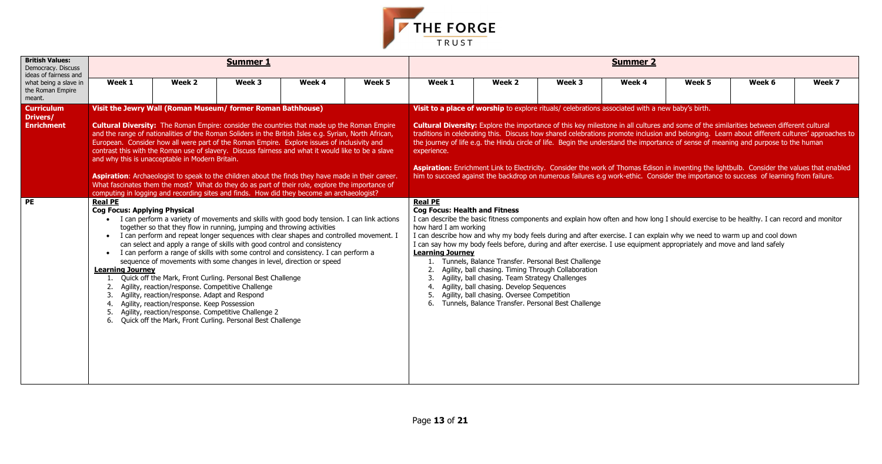

| <b>British Values:</b><br>Democracy. Discuss<br>ideas of fairness and |                                                                                                     |                                                                                                                                                                                                                                                                                                                                                                                                                                                                                                                                                                                                                                                                                                                                                                                                                                                    | <b>Summer 1</b> |        |        | <b>Summer 2</b>                                                                                                                                                                                                                                                                                                                                                                                                                                                                                                                                                                                                                                                                                                                                                                                                                              |                                                                                                                                                                                                                                                                                                                                                                                                                                       |        |        |        |                                                                                                                                                                                                                                                                    |        |  |  |  |
|-----------------------------------------------------------------------|-----------------------------------------------------------------------------------------------------|----------------------------------------------------------------------------------------------------------------------------------------------------------------------------------------------------------------------------------------------------------------------------------------------------------------------------------------------------------------------------------------------------------------------------------------------------------------------------------------------------------------------------------------------------------------------------------------------------------------------------------------------------------------------------------------------------------------------------------------------------------------------------------------------------------------------------------------------------|-----------------|--------|--------|----------------------------------------------------------------------------------------------------------------------------------------------------------------------------------------------------------------------------------------------------------------------------------------------------------------------------------------------------------------------------------------------------------------------------------------------------------------------------------------------------------------------------------------------------------------------------------------------------------------------------------------------------------------------------------------------------------------------------------------------------------------------------------------------------------------------------------------------|---------------------------------------------------------------------------------------------------------------------------------------------------------------------------------------------------------------------------------------------------------------------------------------------------------------------------------------------------------------------------------------------------------------------------------------|--------|--------|--------|--------------------------------------------------------------------------------------------------------------------------------------------------------------------------------------------------------------------------------------------------------------------|--------|--|--|--|
| what being a slave in<br>the Roman Empire<br>meant.                   | Week 1                                                                                              | Week 2                                                                                                                                                                                                                                                                                                                                                                                                                                                                                                                                                                                                                                                                                                                                                                                                                                             | Week 3          | Week 4 | Week 5 | Week 1                                                                                                                                                                                                                                                                                                                                                                                                                                                                                                                                                                                                                                                                                                                                                                                                                                       | Week 2                                                                                                                                                                                                                                                                                                                                                                                                                                | Week 3 | Week 4 | Week 5 | Week 6                                                                                                                                                                                                                                                             | Week 7 |  |  |  |
| <b>Curriculum</b><br>Drivers/<br><b>Enrichment</b>                    |                                                                                                     | Visit the Jewry Wall (Roman Museum/ former Roman Bathhouse)<br><b>Cultural Diversity:</b> The Roman Empire: consider the countries that made up the Roman Empire<br>and the range of nationalities of the Roman Soliders in the British Isles e.g. Syrian, North African,<br>European. Consider how all were part of the Roman Empire. Explore issues of inclusivity and<br>contrast this with the Roman use of slavery. Discuss fairness and what it would like to be a slave<br>and why this is unacceptable in Modern Britain.<br>Aspiration: Archaeologist to speak to the children about the finds they have made in their career.<br>What fascinates them the most? What do they do as part of their role, explore the importance of<br>computing in logging and recording sites and finds. How did they become an archaeologist?            |                 |        |        | Visit to a place of worship to explore rituals/ celebrations associated with a new baby's birth.<br>Cultural Diversity: Explore the importance of this key milestone in all cultures and some of the similarities between different cultural<br>traditions in celebrating this. Discuss how shared celebrations promote inclusion and belonging. Learn about different cultures' approaches to<br>the journey of life e.g. the Hindu circle of life. Begin the understand the importance of sense of meaning and purpose to the human<br>experience.<br>Aspiration: Enrichment Link to Electricity. Consider the work of Thomas Edison in inventing the lightbulb. Consider the values that enabled<br>him to succeed against the backdrop on numerous failures e.g work-ethic. Consider the importance to success of learning from failure. |                                                                                                                                                                                                                                                                                                                                                                                                                                       |        |        |        |                                                                                                                                                                                                                                                                    |        |  |  |  |
| <b>PE</b>                                                             | <b>Real PE</b><br><b>Cog Focus: Applying Physical</b><br>$\bullet$<br><b>Learning Journey</b><br>6. | I can perform a variety of movements and skills with good body tension. I can link actions<br>together so that they flow in running, jumping and throwing activities<br>• I can perform and repeat longer sequences with clear shapes and controlled movement. I<br>can select and apply a range of skills with good control and consistency<br>I can perform a range of skills with some control and consistency. I can perform a<br>sequence of movements with some changes in level, direction or speed<br>Quick off the Mark, Front Curling. Personal Best Challenge<br>Agility, reaction/response. Competitive Challenge<br>Agility, reaction/response. Adapt and Respond<br>Agility, reaction/response. Keep Possession<br>Agility, reaction/response. Competitive Challenge 2<br>Quick off the Mark, Front Curling. Personal Best Challenge |                 |        |        | <b>Real PE</b><br><b>Cog Focus: Health and Fitness</b><br>how hard I am working<br><b>Learning Journey</b><br>2.<br>6.                                                                                                                                                                                                                                                                                                                                                                                                                                                                                                                                                                                                                                                                                                                       | I can say how my body feels before, during and after exercise. I use equipment appropriately and move and land safely<br>Tunnels, Balance Transfer. Personal Best Challenge<br>Agility, ball chasing. Timing Through Collaboration<br>Agility, ball chasing. Team Strategy Challenges<br>Agility, ball chasing. Develop Sequences<br>Agility, ball chasing. Oversee Competition<br>Tunnels, Balance Transfer. Personal Best Challenge |        |        |        | I can describe the basic fitness components and explain how often and how long I should exercise to be healthy. I can record and monitor<br>I can describe how and why my body feels during and after exercise. I can explain why we need to warm up and cool down |        |  |  |  |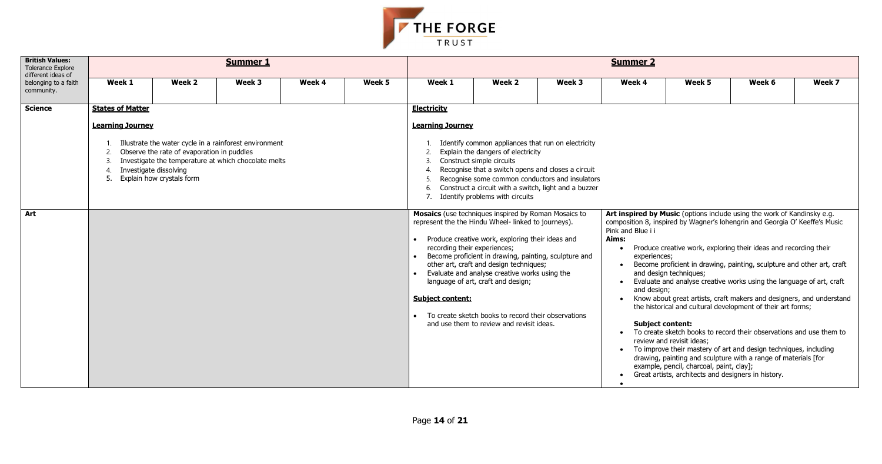

| <b>British Values:</b><br><b>Tolerance Explore</b><br>different ideas of |                                                               |                                                                                                   | <b>Summer 1</b>                                                                                                |        |        | <b>Summer 2</b>                                                      |                                                                                                                                                                                                                                                                                                                                                                                                                                                                  |        |                                                                                      |                                                                                                                                                        |                                                                                                                                                                                                                                                                                                                                                                                                                                                                                                                                                                                                                                                                                                                                  |        |  |  |  |
|--------------------------------------------------------------------------|---------------------------------------------------------------|---------------------------------------------------------------------------------------------------|----------------------------------------------------------------------------------------------------------------|--------|--------|----------------------------------------------------------------------|------------------------------------------------------------------------------------------------------------------------------------------------------------------------------------------------------------------------------------------------------------------------------------------------------------------------------------------------------------------------------------------------------------------------------------------------------------------|--------|--------------------------------------------------------------------------------------|--------------------------------------------------------------------------------------------------------------------------------------------------------|----------------------------------------------------------------------------------------------------------------------------------------------------------------------------------------------------------------------------------------------------------------------------------------------------------------------------------------------------------------------------------------------------------------------------------------------------------------------------------------------------------------------------------------------------------------------------------------------------------------------------------------------------------------------------------------------------------------------------------|--------|--|--|--|
| belonging to a faith<br>community.                                       | Week 1                                                        | Week 2                                                                                            | Week 3                                                                                                         | Week 4 | Week 5 | Week 1                                                               | Week 2                                                                                                                                                                                                                                                                                                                                                                                                                                                           | Week 3 | Week 4                                                                               | Week 5                                                                                                                                                 | Week 6                                                                                                                                                                                                                                                                                                                                                                                                                                                                                                                                                                                                                                                                                                                           | Week 7 |  |  |  |
| <b>Science</b>                                                           | <b>States of Matter</b><br><b>Learning Journey</b><br>4<br>5. | Observe the rate of evaporation in puddles<br>Investigate dissolving<br>Explain how crystals form | Illustrate the water cycle in a rainforest environment<br>Investigate the temperature at which chocolate melts |        |        | <b>Electricity</b><br><b>Learning Journey</b><br>2.<br>3<br>6.<br>7. | Identify common appliances that run on electricity<br>Explain the dangers of electricity<br>Construct simple circuits<br>Recognise that a switch opens and closes a circuit<br>Recognise some common conductors and insulators<br>Construct a circuit with a switch, light and a buzzer<br>Identify problems with circuits                                                                                                                                       |        |                                                                                      |                                                                                                                                                        |                                                                                                                                                                                                                                                                                                                                                                                                                                                                                                                                                                                                                                                                                                                                  |        |  |  |  |
| Art                                                                      |                                                               |                                                                                                   |                                                                                                                |        |        | recording their experiences;<br><b>Subject content:</b>              | Mosaics (use techniques inspired by Roman Mosaics to<br>represent the the Hindu Wheel- linked to journeys).<br>Produce creative work, exploring their ideas and<br>Become proficient in drawing, painting, sculpture and<br>other art, craft and design techniques;<br>Evaluate and analyse creative works using the<br>language of art, craft and design;<br>• To create sketch books to record their observations<br>and use them to review and revisit ideas. |        | Pink and Blue i i<br>Aims:<br>experiences:<br>and design;<br><b>Subject content:</b> | and design techniques;<br>review and revisit ideas;<br>example, pencil, charcoal, paint, clay];<br>Great artists, architects and designers in history. | Art inspired by Music (options include using the work of Kandinsky e.g.<br>composition 8, inspired by Wagner's lohengrin and Georgia O' Keeffe's Music<br>Produce creative work, exploring their ideas and recording their<br>Become proficient in drawing, painting, sculpture and other art, craft<br>Evaluate and analyse creative works using the language of art, craft<br>Know about great artists, craft makers and designers, and understand<br>the historical and cultural development of their art forms;<br>To create sketch books to record their observations and use them to<br>To improve their mastery of art and design techniques, including<br>drawing, painting and sculpture with a range of materials [for |        |  |  |  |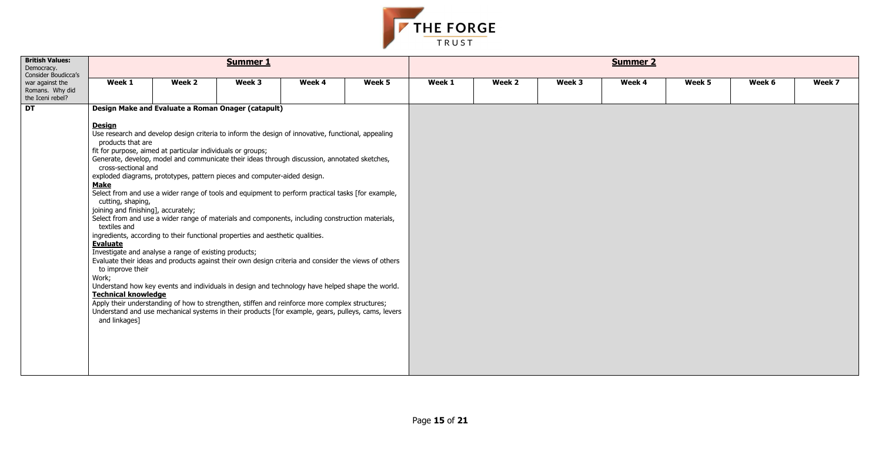

| <b>British Values:</b><br>Democracy.<br>Consider Boudicca's |                                                                                                                                                                                                                                                     |                                                                                                                                                                                                                                                                                                                                                                                                                                                                                                                                                                                                                                                                                                                                                                                                                                                                                                                                                                                                                                                                                                                      | <b>Summer 1</b> |        |        | <b>Summer 2</b> |        |        |        |        |        |        |  |  |  |
|-------------------------------------------------------------|-----------------------------------------------------------------------------------------------------------------------------------------------------------------------------------------------------------------------------------------------------|----------------------------------------------------------------------------------------------------------------------------------------------------------------------------------------------------------------------------------------------------------------------------------------------------------------------------------------------------------------------------------------------------------------------------------------------------------------------------------------------------------------------------------------------------------------------------------------------------------------------------------------------------------------------------------------------------------------------------------------------------------------------------------------------------------------------------------------------------------------------------------------------------------------------------------------------------------------------------------------------------------------------------------------------------------------------------------------------------------------------|-----------------|--------|--------|-----------------|--------|--------|--------|--------|--------|--------|--|--|--|
| war against the<br>Romans. Why did<br>the Iceni rebel?      | Week 1                                                                                                                                                                                                                                              | Week 2                                                                                                                                                                                                                                                                                                                                                                                                                                                                                                                                                                                                                                                                                                                                                                                                                                                                                                                                                                                                                                                                                                               | Week 3          | Week 4 | Week 5 | Week 1          | Week 2 | Week 3 | Week 4 | Week 5 | Week 6 | Week 7 |  |  |  |
| DT                                                          |                                                                                                                                                                                                                                                     | Design Make and Evaluate a Roman Onager (catapult)                                                                                                                                                                                                                                                                                                                                                                                                                                                                                                                                                                                                                                                                                                                                                                                                                                                                                                                                                                                                                                                                   |                 |        |        |                 |        |        |        |        |        |        |  |  |  |
|                                                             | <b>Design</b><br>products that are<br>cross-sectional and<br><b>Make</b><br>cutting, shaping,<br>joining and finishing], accurately;<br>textiles and<br><b>Evaluate</b><br>to improve their<br>Work;<br><b>Technical knowledge</b><br>and linkages] | Use research and develop design criteria to inform the design of innovative, functional, appealing<br>fit for purpose, aimed at particular individuals or groups;<br>Generate, develop, model and communicate their ideas through discussion, annotated sketches,<br>exploded diagrams, prototypes, pattern pieces and computer-aided design.<br>Select from and use a wider range of tools and equipment to perform practical tasks [for example,<br>Select from and use a wider range of materials and components, including construction materials,<br>ingredients, according to their functional properties and aesthetic qualities.<br>Investigate and analyse a range of existing products;<br>Evaluate their ideas and products against their own design criteria and consider the views of others<br>Understand how key events and individuals in design and technology have helped shape the world.<br>Apply their understanding of how to strengthen, stiffen and reinforce more complex structures;<br>Understand and use mechanical systems in their products [for example, gears, pulleys, cams, levers |                 |        |        |                 |        |        |        |        |        |        |  |  |  |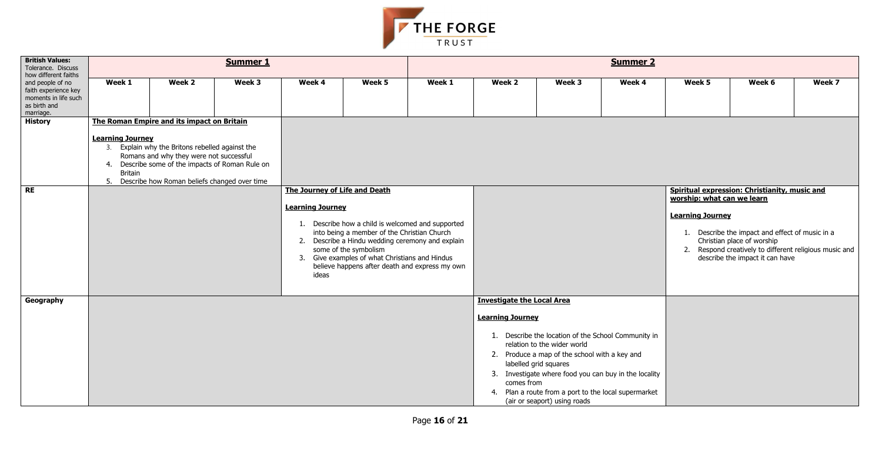

| <b>British Values:</b><br>Tolerance. Discuss<br>how different faiths                          |                                                                                               | <b>Summer 1</b><br><b>Summer 2</b>                                                                                                                                                             |        |                                                                   |                                                                                                                                                                                                                                                                                   |        |                                                                            |                                                                                                                                                                                                                                                      |                                                       |                                                       |                                                                                                                                                                            |        |  |  |  |
|-----------------------------------------------------------------------------------------------|-----------------------------------------------------------------------------------------------|------------------------------------------------------------------------------------------------------------------------------------------------------------------------------------------------|--------|-------------------------------------------------------------------|-----------------------------------------------------------------------------------------------------------------------------------------------------------------------------------------------------------------------------------------------------------------------------------|--------|----------------------------------------------------------------------------|------------------------------------------------------------------------------------------------------------------------------------------------------------------------------------------------------------------------------------------------------|-------------------------------------------------------|-------------------------------------------------------|----------------------------------------------------------------------------------------------------------------------------------------------------------------------------|--------|--|--|--|
| and people of no<br>faith experience key<br>moments in life such<br>as birth and<br>marriage. | Week 1                                                                                        | Week 2                                                                                                                                                                                         | Week 3 | Week 4                                                            | Week 5                                                                                                                                                                                                                                                                            | Week 1 | Week 2                                                                     | Week 3                                                                                                                                                                                                                                               | Week 4                                                | Week 5                                                | Week 6                                                                                                                                                                     | Week 7 |  |  |  |
| <b>History</b>                                                                                | The Roman Empire and its impact on Britain<br><b>Learning Journey</b><br><b>Britain</b><br>5. | 3. Explain why the Britons rebelled against the<br>Romans and why they were not successful<br>4. Describe some of the impacts of Roman Rule on<br>Describe how Roman beliefs changed over time |        |                                                                   |                                                                                                                                                                                                                                                                                   |        |                                                                            |                                                                                                                                                                                                                                                      | Spiritual expression: Christianity, music and         |                                                       |                                                                                                                                                                            |        |  |  |  |
| RE                                                                                            |                                                                                               |                                                                                                                                                                                                |        | The Journey of Life and Death<br><b>Learning Journey</b><br>ideas | 1. Describe how a child is welcomed and supported<br>into being a member of the Christian Church<br>2. Describe a Hindu wedding ceremony and explain<br>some of the symbolism<br>3. Give examples of what Christians and Hindus<br>believe happens after death and express my own |        |                                                                            |                                                                                                                                                                                                                                                      |                                                       | worship: what can we learn<br><b>Learning Journey</b> | 1. Describe the impact and effect of music in a<br>Christian place of worship<br>2. Respond creatively to different religious music and<br>describe the impact it can have |        |  |  |  |
| Geography                                                                                     |                                                                                               |                                                                                                                                                                                                |        |                                                                   |                                                                                                                                                                                                                                                                                   |        | <b>Investigate the Local Area</b><br><b>Learning Journey</b><br>comes from | 1. Describe the location of the School Community in<br>relation to the wider world<br>2. Produce a map of the school with a key and<br>labelled grid squares<br>4. Plan a route from a port to the local supermarket<br>(air or seaport) using roads | 3. Investigate where food you can buy in the locality |                                                       |                                                                                                                                                                            |        |  |  |  |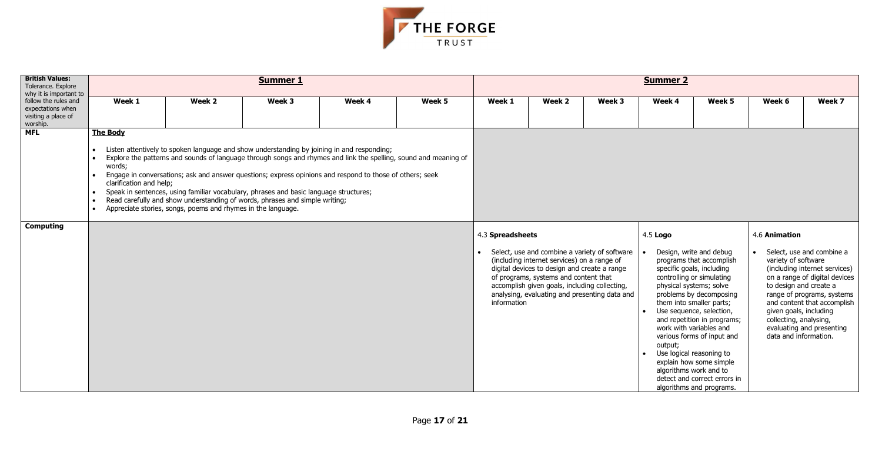

| <b>British Values:</b><br>Tolerance. Explore                                 |                                                                          |                                                                                                                                                                                                                                                                                                                                                                                                                                                                                                                                                                    | <b>Summer 1</b> |        |        | <b>Summer 2</b>                               |                                                                                                                                                                                                                                                                                         |        |                                                              |                                                                                                                                                                                                                                                                                                                                                                                                             |                                                                                                                            |                                                                                                                                                                                       |  |
|------------------------------------------------------------------------------|--------------------------------------------------------------------------|--------------------------------------------------------------------------------------------------------------------------------------------------------------------------------------------------------------------------------------------------------------------------------------------------------------------------------------------------------------------------------------------------------------------------------------------------------------------------------------------------------------------------------------------------------------------|-----------------|--------|--------|-----------------------------------------------|-----------------------------------------------------------------------------------------------------------------------------------------------------------------------------------------------------------------------------------------------------------------------------------------|--------|--------------------------------------------------------------|-------------------------------------------------------------------------------------------------------------------------------------------------------------------------------------------------------------------------------------------------------------------------------------------------------------------------------------------------------------------------------------------------------------|----------------------------------------------------------------------------------------------------------------------------|---------------------------------------------------------------------------------------------------------------------------------------------------------------------------------------|--|
| why it is important to                                                       |                                                                          |                                                                                                                                                                                                                                                                                                                                                                                                                                                                                                                                                                    |                 |        |        |                                               |                                                                                                                                                                                                                                                                                         |        |                                                              |                                                                                                                                                                                                                                                                                                                                                                                                             |                                                                                                                            |                                                                                                                                                                                       |  |
| follow the rules and<br>expectations when<br>visiting a place of<br>worship. | Week 1                                                                   | Week 2                                                                                                                                                                                                                                                                                                                                                                                                                                                                                                                                                             | Week 3          | Week 4 | Week 5 | Week 1                                        | Week 2                                                                                                                                                                                                                                                                                  | Week 3 | Week 4                                                       | Week 5                                                                                                                                                                                                                                                                                                                                                                                                      | Week 6                                                                                                                     | Week 7                                                                                                                                                                                |  |
| <b>MFL</b>                                                                   | <b>The Body</b>                                                          |                                                                                                                                                                                                                                                                                                                                                                                                                                                                                                                                                                    |                 |        |        |                                               |                                                                                                                                                                                                                                                                                         |        |                                                              |                                                                                                                                                                                                                                                                                                                                                                                                             |                                                                                                                            |                                                                                                                                                                                       |  |
|                                                                              | $\bullet$<br>words;<br>clarification and help;<br>$\bullet$<br>$\bullet$ | Listen attentively to spoken language and show understanding by joining in and responding;<br>Explore the patterns and sounds of language through songs and rhymes and link the spelling, sound and meaning of<br>Engage in conversations; ask and answer questions; express opinions and respond to those of others; seek<br>Speak in sentences, using familiar vocabulary, phrases and basic language structures;<br>Read carefully and show understanding of words, phrases and simple writing;<br>Appreciate stories, songs, poems and rhymes in the language. |                 |        |        |                                               |                                                                                                                                                                                                                                                                                         |        |                                                              |                                                                                                                                                                                                                                                                                                                                                                                                             |                                                                                                                            |                                                                                                                                                                                       |  |
| <b>Computing</b>                                                             |                                                                          |                                                                                                                                                                                                                                                                                                                                                                                                                                                                                                                                                                    |                 |        |        | 4.5 Logo<br>4.3 Spreadsheets<br>4.6 Animation |                                                                                                                                                                                                                                                                                         |        |                                                              |                                                                                                                                                                                                                                                                                                                                                                                                             |                                                                                                                            |                                                                                                                                                                                       |  |
|                                                                              |                                                                          |                                                                                                                                                                                                                                                                                                                                                                                                                                                                                                                                                                    |                 |        |        | information                                   | Select, use and combine a variety of software<br>(including internet services) on a range of<br>digital devices to design and create a range<br>of programs, systems and content that<br>accomplish given goals, including collecting,<br>analysing, evaluating and presenting data and |        | physical systems; solve<br>output;<br>algorithms work and to | Design, write and debug<br>programs that accomplish<br>specific goals, including<br>controlling or simulating<br>problems by decomposing<br>them into smaller parts;<br>Use sequence, selection,<br>and repetition in programs;<br>work with variables and<br>various forms of input and<br>Use logical reasoning to<br>explain how some simple<br>detect and correct errors in<br>algorithms and programs. | variety of software<br>to design and create a<br>given goals, including<br>collecting, analysing,<br>data and information. | Select, use and combine a<br>(including internet services)<br>on a range of digital devices<br>range of programs, systems<br>and content that accomplish<br>evaluating and presenting |  |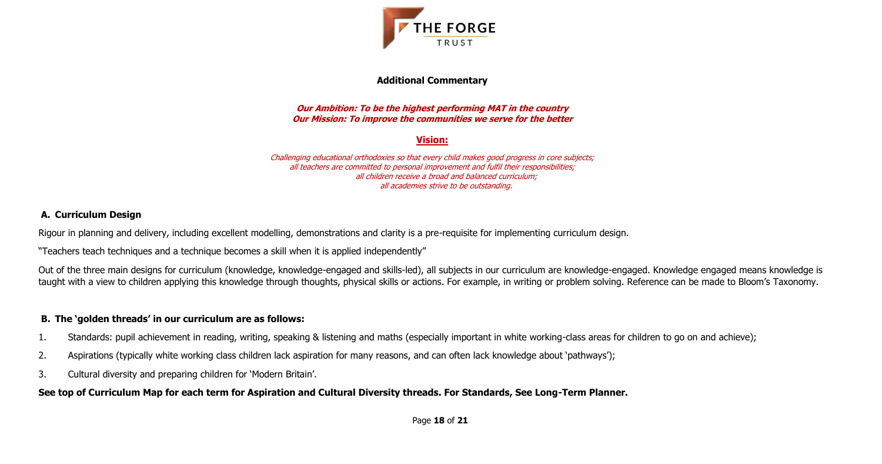Page **18** of **21**



### **Additional Commentary**

#### **Our Ambition: To be the highest performing MAT in the country Our Mission: To improve the communities we serve for the better**

## **Vision:**

Challenging educational orthodoxies so that every child makes good progress in core subjects; all teachers are committed to personal improvement and fulfil their responsibilities; all children receive a broad and balanced curriculum; all academies strive to be outstanding.

# **A. Curriculum Design**

Rigour in planning and delivery, including excellent modelling, demonstrations and clarity is a pre-requisite for implementing curriculum design.

"Teachers teach techniques and a technique becomes a skill when it is applied independently"

Out of the three main designs for curriculum (knowledge, knowledge-engaged and skills-led), all subjects in our curriculum are knowledge-engaged. Knowledge engaged means knowledge is taught with a view to children applying this knowledge through thoughts, physical skills or actions. For example, in writing or problem solving. Reference can be made to Bloom's Taxonomy.

## **B. The 'golden threads' in our curriculum are as follows:**

- 1. Standards: pupil achievement in reading, writing, speaking & listening and maths (especially important in white working-class areas for children to go on and achieve);
- 2. Aspirations (typically white working class children lack aspiration for many reasons, and can often lack knowledge about 'pathways');
- 3. Cultural diversity and preparing children for 'Modern Britain'.

# **See top of Curriculum Map for each term for Aspiration and Cultural Diversity threads. For Standards, See Long-Term Planner.**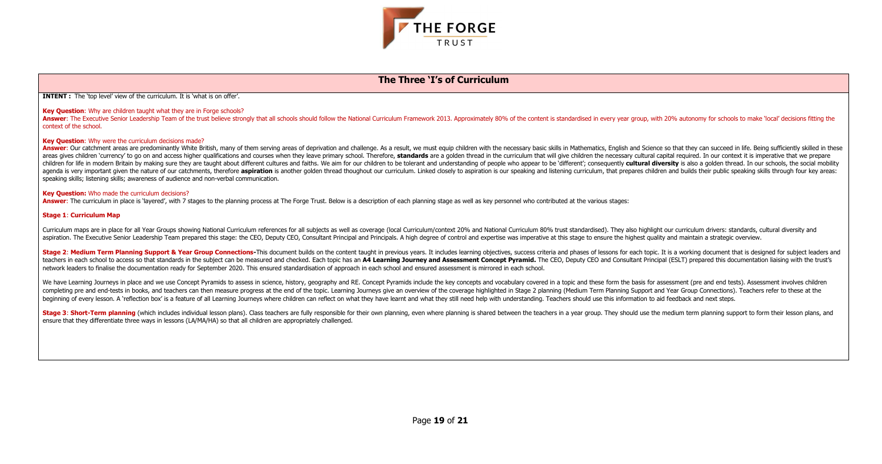



#### **The Three 'I's of Curriculum**

**INTENT :** The 'top level' view of the curriculum. It is 'what is on offer'.

#### **Key Question:** Why are children taught what they are in Forge schools?

Answer: The Executive Senior Leadership Team of the trust believe strongly that all schools should follow the National Curriculum Framework 2013. Approximately 80% of the content is standardised in every year group, with 2 context of the school.

#### **Key Question**: Why were the curriculum decisions made?

Answer: Our catchment areas are predominantly White British, many of them serving areas of deprivation and challenge. As a result, we must equip children with the necessary basic skills in Mathematics, English and Science areas gives children 'currency' to go on and access higher qualifications and courses when they leave primary school. Therefore, standards are a golden thread in the curriculum that will give children the necessary cultura children for life in modern Britain by making sure they are taught about different cultures and faiths. We aim for our children to be tolerant and understanding of people who appear to be 'different'; consequently cultural agenda is very important given the nature of our catchments, therefore aspiration is another golden thread thoughout our curriculum. Linked closely to aspiration is our speaking and listening curriculum, that prepares chil speaking skills; listening skills; awareness of audience and non-verbal communication.

Stage 2: Medium Term Planning Support & Year Group Connections-This document builds on the content taught in previous years. It includes learning objectives, success criteria and phases of lessons for each topic. It is a w teachers in each school to access so that standards in the subject can be measured and checked. Each topic has an A4 Learning Journey and Assessment Concept Pyramid. The CEO, Deputy CEO and Consultant Principal (ESLT) prep network leaders to finalise the documentation ready for September 2020. This ensured standardisation of approach in each school and ensured assessment is mirrored in each school.

We have Learning Journeys in place and we use Concept Pyramids to assess in science, history, geography and RE. Concept Pyramids include the key concepts and vocabulary covered in a topic and these form the basis for asses completing pre and end-tests in books, and teachers can then measure progress at the end of the topic. Learning Journeys give an overview of the coverage highlighted in Stage 2 planning (Medium Term Planning Support and Ye beginning of every lesson. A 'reflection box' is a feature of all Learning Journeys where children can reflect on what they have learnt and what they still need help with understanding. Teachers should use this information

#### **Key Question:** Who made the curriculum decisions?

**Answer:** The curriculum in place is 'layered', with 7 stages to the planning process at The Forge Trust. Below is a description of each planning stage as well as key personnel who contributed at the various stages:

#### **Stage 1**: **Curriculum Map**

Curriculum maps are in place for all Year Groups showing National Curriculum references for all subjects as well as coverage (local Curriculum/context 20% and National Curriculum 80% trust standardised). They also highligh aspiration. The Executive Senior Leadership Team prepared this stage: the CEO, Deputy CEO, Consultant Principal and Principals. A high degree of control and expertise was imperative at this stage to ensure the highest qual

Stage 3: Short-Term planning (which includes individual lesson plans). Class teachers are fully responsible for their own planning, even where planning is shared between the teachers in a year group. They should use the me ensure that they differentiate three ways in lessons (LA/MA/HA) so that all children are appropriately challenged.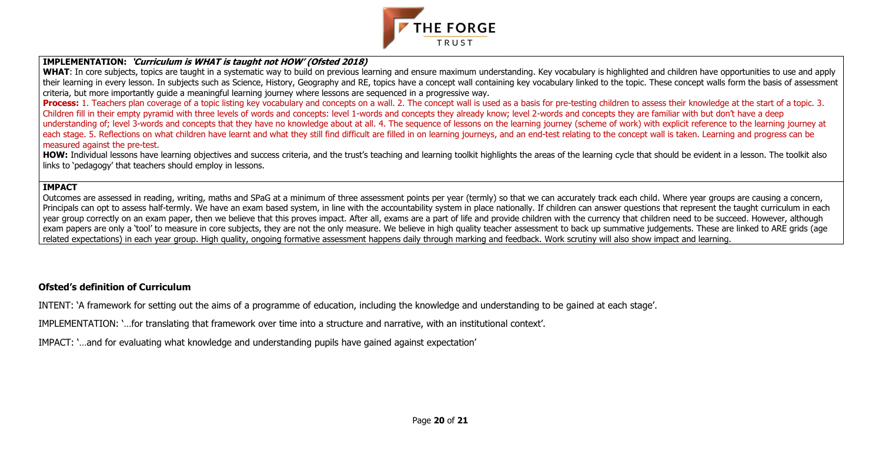

### **IMPLEMENTATION: 'Curriculum is WHAT is taught not HOW' (Ofsted 2018)**

WHAT: In core subjects, topics are taught in a systematic way to build on previous learning and ensure maximum understanding. Key vocabulary is highlighted and children have opportunities to use and apply their learning in every lesson. In subjects such as Science, History, Geography and RE, topics have a concept wall containing key vocabulary linked to the topic. These concept walls form the basis of assessment criteria, but more importantly guide a meaningful learning journey where lessons are sequenced in a progressive way.

**Process:** 1. Teachers plan coverage of a topic listing key vocabulary and concepts on a wall. 2. The concept wall is used as a basis for pre-testing children to assess their knowledge at the start of a topic. 3. Children fill in their empty pyramid with three levels of words and concepts: level 1-words and concepts they already know; level 2-words and concepts they are familiar with but don't have a deep understanding of; level 3-words and concepts that they have no knowledge about at all. 4. The sequence of lessons on the learning journey (scheme of work) with explicit reference to the learning journey at each stage. 5. Reflections on what children have learnt and what they still find difficult are filled in on learning journeys, and an end-test relating to the concept wall is taken. Learning and progress can be measured against the pre-test.

HOW: Individual lessons have learning objectives and success criteria, and the trust's teaching and learning toolkit highlights the areas of the learning cycle that should be evident in a lesson. The toolkit also links to 'pedagogy' that teachers should employ in lessons.

Outcomes are assessed in reading, writing, maths and SPaG at a minimum of three assessment points per year (termly) so that we can accurately track each child. Where year groups are causing a concern, Principals can opt to assess half-termly. We have an exam based system, in line with the accountability system in place nationally. If children can answer questions that represent the taught curriculum in each year group correctly on an exam paper, then we believe that this proves impact. After all, exams are a part of life and provide children with the currency that children need to be succeed. However, although exam papers are only a 'tool' to measure in core subjects, they are not the only measure. We believe in high quality teacher assessment to back up summative judgements. These are linked to ARE grids (age related expectations) in each year group. High quality, ongoing formative assessment happens daily through marking and feedback. Work scrutiny will also show impact and learning.

#### **IMPACT**

## **Ofsted's definition of Curriculum**

INTENT: 'A framework for setting out the aims of a programme of education, including the knowledge and understanding to be gained at each stage'.

IMPLEMENTATION: '…for translating that framework over time into a structure and narrative, with an institutional context'.

IMPACT: '…and for evaluating what knowledge and understanding pupils have gained against expectation'